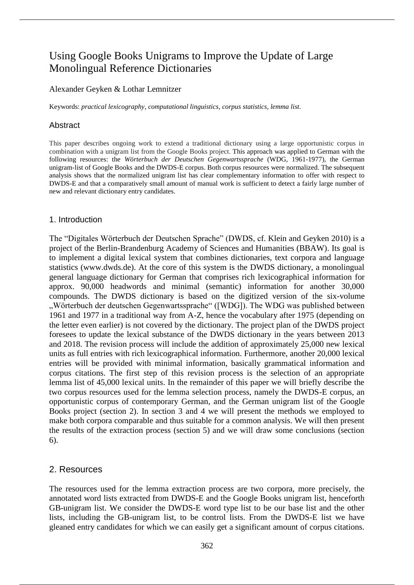# Using Google Books Unigrams to Improve the Update of Large Monolingual Reference Dictionaries

## Alexander Geyken & Lothar Lemnitzer

Keywords: *practical lexicography*, *computational linguistics*, *corpus statistics*, *lemma list*.

# Abstract

This paper describes ongoing work to extend a traditional dictionary using a large opportunistic corpus in combination with a unigram list from the Google Books project. This approach was applied to German with the following resources: the *Wörterbuch der Deutschen Gegenwartssprache* (WDG, 1961-1977), the German unigram-list of Google Books and the DWDS-E corpus. Both corpus resources were normalized. The subsequent analysis shows that the normalized unigram list has clear complementary information to offer with respect to DWDS-E and that a comparatively small amount of manual work is sufficient to detect a fairly large number of new and relevant dictionary entry candidates.

# 1. Introduction

The "Digitales Wörterbuch der Deutschen Sprache" (DWDS, cf. Klein and Geyken 2010) is a project of the Berlin-Brandenburg Academy of Sciences and Humanities (BBAW). Its goal is to implement a digital lexical system that combines dictionaries, text corpora and language statistics (www.dwds.de). At the core of this system is the DWDS dictionary, a monolingual general language dictionary for German that comprises rich lexicographical information for approx. 90,000 headwords and minimal (semantic) information for another 30,000 compounds. The DWDS dictionary is based on the digitized version of the six-volume "Wörterbuch der deutschen Gegenwartssprache" ([WDG]). The WDG was published between 1961 and 1977 in a traditional way from A-Z, hence the vocabulary after 1975 (depending on the letter even earlier) is not covered by the dictionary. The project plan of the DWDS project foresees to update the lexical substance of the DWDS dictionary in the years between 2013 and 2018. The revision process will include the addition of approximately 25,000 new lexical units as full entries with rich lexicographical information. Furthermore, another 20,000 lexical entries will be provided with minimal information, basically grammatical information and corpus citations. The first step of this revision process is the selection of an appropriate lemma list of 45,000 lexical units. In the remainder of this paper we will briefly describe the two corpus resources used for the lemma selection process, namely the DWDS-E corpus, an opportunistic corpus of contemporary German, and the German unigram list of the Google Books project (section 2). In section 3 and 4 we will present the methods we employed to make both corpora comparable and thus suitable for a common analysis. We will then present the results of the extraction process (section 5) and we will draw some conclusions (section 6).

# 2. Resources

The resources used for the lemma extraction process are two corpora, more precisely, the annotated word lists extracted from DWDS-E and the Google Books unigram list, henceforth GB-unigram list. We consider the DWDS-E word type list to be our base list and the other lists, including the GB-unigram list, to be control lists. From the DWDS-E list we have gleaned entry candidates for which we can easily get a significant amount of corpus citations.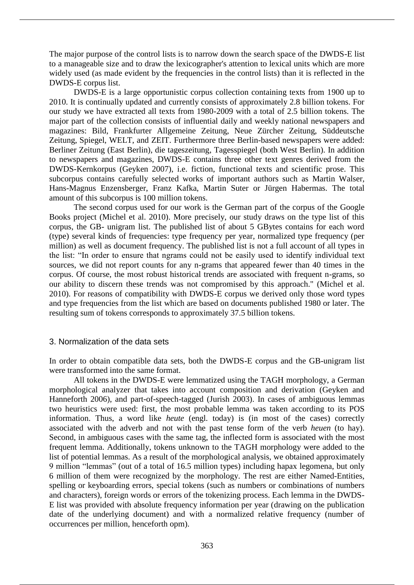The major purpose of the control lists is to narrow down the search space of the DWDS-E list to a manageable size and to draw the lexicographer's attention to lexical units which are more widely used (as made evident by the frequencies in the control lists) than it is reflected in the DWDS-E corpus list.

DWDS-E is a large opportunistic corpus collection containing texts from 1900 up to 2010. It is continually updated and currently consists of approximately 2.8 billion tokens. For our study we have extracted all texts from 1980-2009 with a total of 2.5 billion tokens. The major part of the collection consists of influential daily and weekly national newspapers and magazines: Bild, Frankfurter Allgemeine Zeitung, Neue Zürcher Zeitung, Süddeutsche Zeitung, Spiegel, WELT, and ZEIT. Furthermore three Berlin-based newspapers were added: Berliner Zeitung (East Berlin), die tageszeitung, Tagesspiegel (both West Berlin). In addition to newspapers and magazines, DWDS-E contains three other text genres derived from the DWDS-Kernkorpus (Geyken 2007), i.e. fiction, functional texts and scientific prose. This subcorpus contains carefully selected works of important authors such as Martin Walser, Hans-Magnus Enzensberger, Franz Kafka, Martin Suter or Jürgen Habermas. The total amount of this subcorpus is 100 million tokens.

The second corpus used for our work is the German part of the corpus of the Google Books project (Michel et al. 2010). More precisely, our study draws on the type list of this corpus, the GB- unigram list. The published list of about 5 GBytes contains for each word (type) several kinds of frequencies: type frequency per year, normalized type frequency (per million) as well as document frequency. The published list is not a full account of all types in the list: "In order to ensure that ngrams could not be easily used to identify individual text sources, we did not report counts for any n-grams that appeared fewer than 40 times in the corpus. Of course, the most robust historical trends are associated with frequent n-grams, so our ability to discern these trends was not compromised by this approach." (Michel et al. 2010). For reasons of compatibility with DWDS-E corpus we derived only those word types and type frequencies from the list which are based on documents published 1980 or later. The resulting sum of tokens corresponds to approximately 37.5 billion tokens.

#### 3. Normalization of the data sets

In order to obtain compatible data sets, both the DWDS-E corpus and the GB-unigram list were transformed into the same format.

All tokens in the DWDS-E were lemmatized using the TAGH morphology, a German morphological analyzer that takes into account composition and derivation (Geyken and Hanneforth 2006), and part-of-speech-tagged (Jurish 2003). In cases of ambiguous lemmas two heuristics were used: first, the most probable lemma was taken according to its POS information. Thus, a word like *heute* (engl. today) is (in most of the cases) correctly associated with the adverb and not with the past tense form of the verb *heuen* (to hay). Second, in ambiguous cases with the same tag, the inflected form is associated with the most frequent lemma. Additionally, tokens unknown to the TAGH morphology were added to the list of potential lemmas. As a result of the morphological analysis, we obtained approximately 9 million "lemmas" (out of a total of 16.5 million types) including hapax legomena, but only 6 million of them were recognized by the morphology. The rest are either Named-Entities, spelling or keyboarding errors, special tokens (such as numbers or combinations of numbers and characters), foreign words or errors of the tokenizing process. Each lemma in the DWDS-E list was provided with absolute frequency information per year (drawing on the publication date of the underlying document) and with a normalized relative frequency (number of occurrences per million, henceforth opm).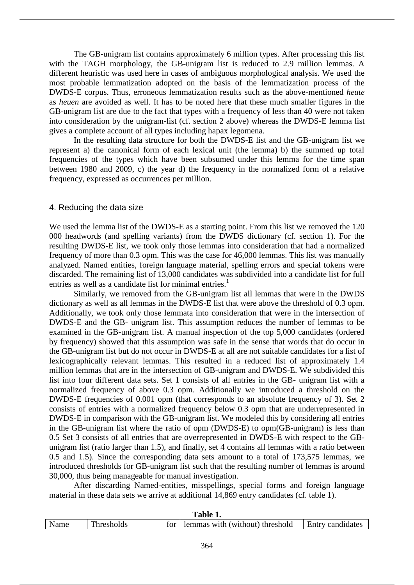The GB-unigram list contains approximately 6 million types. After processing this list with the TAGH morphology, the GB-unigram list is reduced to 2.9 million lemmas. A different heuristic was used here in cases of ambiguous morphological analysis. We used the most probable lemmatization adopted on the basis of the lemmatization process of the DWDS-E corpus. Thus, erroneous lemmatization results such as the above-mentioned *heute* as *heuen* are avoided as well. It has to be noted here that these much smaller figures in the GB-unigram list are due to the fact that types with a frequency of less than 40 were not taken into consideration by the unigram-list (cf. section 2 above) whereas the DWDS-E lemma list gives a complete account of all types including hapax legomena.

In the resulting data structure for both the DWDS-E list and the GB-unigram list we represent a) the canonical form of each lexical unit (the lemma) b) the summed up total frequencies of the types which have been subsumed under this lemma for the time span between 1980 and 2009, c) the year d) the frequency in the normalized form of a relative frequency, expressed as occurrences per million.

#### 4. Reducing the data size

We used the lemma list of the DWDS-E as a starting point. From this list we removed the 120 000 headwords (and spelling variants) from the DWDS dictionary (cf. section 1). For the resulting DWDS-E list, we took only those lemmas into consideration that had a normalized frequency of more than 0.3 opm. This was the case for 46,000 lemmas. This list was manually analyzed. Named entities, foreign language material, spelling errors and special tokens were discarded. The remaining list of 13,000 candidates was subdivided into a candidate list for full entries as well as a candidate list for minimal entries.<sup>1</sup>

Similarly, we removed from the GB-unigram list all lemmas that were in the DWDS dictionary as well as all lemmas in the DWDS-E list that were above the threshold of 0.3 opm. Additionally, we took only those lemmata into consideration that were in the intersection of DWDS-E and the GB- unigram list. This assumption reduces the number of lemmas to be examined in the GB-unigram list. A manual inspection of the top 5,000 candidates (ordered by frequency) showed that this assumption was safe in the sense that words that do occur in the GB-unigram list but do not occur in DWDS-E at all are not suitable candidates for a list of lexicographically relevant lemmas. This resulted in a reduced list of approximately 1.4 million lemmas that are in the intersection of GB-unigram and DWDS-E. We subdivided this list into four different data sets. Set 1 consists of all entries in the GB- unigram list with a normalized frequency of above 0.3 opm. Additionally we introduced a threshold on the DWDS-E frequencies of 0.001 opm (that corresponds to an absolute frequency of 3). Set 2 consists of entries with a normalized frequency below 0.3 opm that are underrepresented in DWDS-E in comparison with the GB-unigram list. We modeled this by considering all entries in the GB-unigram list where the ratio of opm (DWDS-E) to opm(GB-unigram) is less than 0.5 Set 3 consists of all entries that are overrepresented in DWDS-E with respect to the GBunigram list (ratio larger than 1.5), and finally, set 4 contains all lemmas with a ratio between 0.5 and 1.5). Since the corresponding data sets amount to a total of 173,575 lemmas, we introduced thresholds for GB-unigram list such that the resulting number of lemmas is around 30,000, thus being manageable for manual investigation.

After discarding Named-entities, misspellings, special forms and foreign language material in these data sets we arrive at additional 14,869 entry candidates (cf. table 1).

| TUDIO TI |           |     |                                 |                  |  |  |
|----------|-----------|-----|---------------------------------|------------------|--|--|
| Name     | hresholds | t∩r | lemmas with (without) threshold | Entry candidates |  |  |
|          |           |     |                                 |                  |  |  |

#### **Table 1.**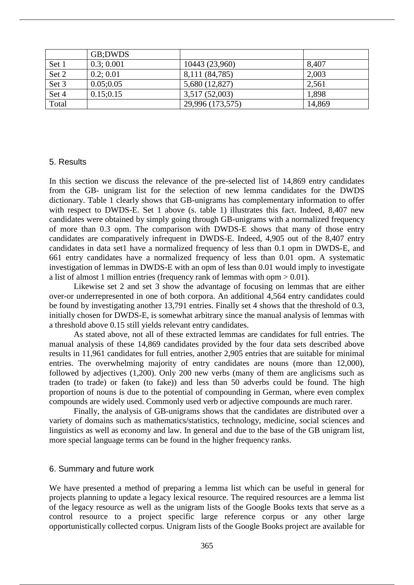|       | GB:DWDS    |                  |        |
|-------|------------|------------------|--------|
| Set 1 | 0.3; 0.001 | 10443 (23,960)   | 8,407  |
| Set 2 | 0.2; 0.01  | 8,111 (84,785)   | 2,003  |
| Set 3 | 0.05;0.05  | 5,680 (12,827)   | 2,561  |
| Set 4 | 0.15:0.15  | 3,517 (52,003)   | 1,898  |
| Total |            | 29,996 (173,575) | 14,869 |

#### 5. Results

In this section we discuss the relevance of the pre-selected list of 14,869 entry candidates from the GB- unigram list for the selection of new lemma candidates for the DWDS dictionary. Table 1 clearly shows that GB-unigrams has complementary information to offer with respect to DWDS-E. Set 1 above (s. table 1) illustrates this fact. Indeed, 8,407 new candidates were obtained by simply going through GB-unigrams with a normalized frequency of more than 0.3 opm. The comparison with DWDS-E shows that many of those entry candidates are comparatively infrequent in DWDS-E. Indeed, 4,905 out of the 8,407 entry candidates in data set1 have a normalized frequency of less than 0.1 opm in DWDS-E, and 661 entry candidates have a normalized frequency of less than 0.01 opm. A systematic investigation of lemmas in DWDS-E with an opm of less than 0.01 would imply to investigate a list of almost 1 million entries (frequency rank of lemmas with opm > 0.01).

Likewise set 2 and set 3 show the advantage of focusing on lemmas that are either over-or underrepresented in one of both corpora. An additional 4,564 entry candidates could be found by investigating another 13,791 entries. Finally set 4 shows that the threshold of 0.3, initially chosen for DWDS-E, is somewhat arbitrary since the manual analysis of lemmas with a threshold above 0.15 still yields relevant entry candidates.

As stated above, not all of these extracted lemmas are candidates for full entries. The manual analysis of these 14,869 candidates provided by the four data sets described above results in 11,961 candidates for full entries, another 2,905 entries that are suitable for minimal entries. The overwhelming majority of entry candidates are nouns (more than 12,000), followed by adjectives (1,200). Only 200 new verbs (many of them are anglicisms such as traden (to trade) or faken (to fake)) and less than 50 adverbs could be found. The high proportion of nouns is due to the potential of compounding in German, where even complex compounds are widely used. Commonly used verb or adjective compounds are much rarer.

Finally, the analysis of GB-unigrams shows that the candidates are distributed over a variety of domains such as mathematics/statistics, technology, medicine, social sciences and linguistics as well as economy and law. In general and due to the base of the GB unigram list, more special language terms can be found in the higher frequency ranks.

#### 6. Summary and future work

We have presented a method of preparing a lemma list which can be useful in general for projects planning to update a legacy lexical resource. The required resources are a lemma list of the legacy resource as well as the unigram lists of the Google Books texts that serve as a control resource to a project specific large reference corpus or any other large opportunistically collected corpus. Unigram lists of the Google Books project are available for